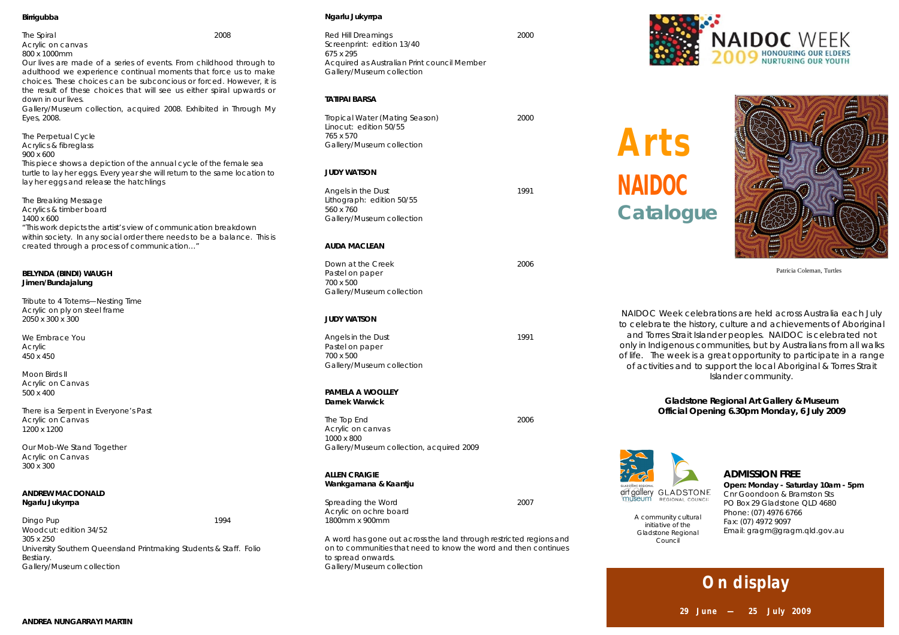#### **Birrigubba**

*The Spiral* 2008 Acrylic on canvas 800 x 1000mm

Our lives are made of a series of events. From childhood through to adulthood we experience continual moments that force us to make choices. These choices can be subconcious or forced. However, it is the result of these choices that will see us either spiral upwards or down in our lives.

*Gallery/Museum collection, acquired 2008. Exhibited in Through My Eyes, 2008.*

*The Perpetual Cycle* Acrylics & fibreglass 900 x 600 This piece shows a depiction of the annual cycle of the female sea turtle to lay her eggs. Every year she will return to the same location to lay her eggs and release the hatchlings

*The Breaking Message* Acrylics & timber board 1400 x 600 "This work depicts the artist's view of communication breakdown within society. In any social order there needs to be a balance. This is created through a process of communication…"

#### **BELYNDA (BINDI) WAUGH Jimen/Bundajalung**

*Tribute to 4 Totems—Nesting Time* Acrylic on ply on steel frame 2050 x 300 x 300

*We Embrace You* Acrylic 450 x 450

*Moon Birds II* Acrylic on Canvas 500 x 400

*There is a Serpent in Everyone's Past* Acrylic on Canvas 1200 x 1200

*Our Mob-We Stand Together* Acrylic on Canvas 300 x 300

## **ANDREW MACDONALD Ngarlu Jukyrrpa**

*Dingo Pup 1994* Woodcut: edition 34/52 305 x 250 University Southern Queensland Printmaking Students & Staff. Folio Bestiary. *Gallery/Museum collection*

#### **Ngarlu Jukyrrpa**

*Red Hill Dreamings 2000* Screenprint: edition 13/40 675 x 295 Acquired as Australian Print council Member *Gallery/Museum collection*

### **TATIPAI BARSA**

*Tropical Water (Mating Season) 2000* Linocut: edition 50/55 765 x 570 *Gallery/Museum collection*

## **JUDY WATSON**

*Angels in the Dust 1991* Lithograph: edition 50/55 560 x 760 *Gallery/Museum collection*

#### **AUDA MACLEAN**

*Down at the Creek 2006* Pastel on paper 700 x 500 *Gallery/Museum collection*

#### **JUDY WATSON**

*Angels in the Dust 1991* Pastel on paper 700 x 500 *Gallery/Museum collection*

#### **PAMELA A WOOLLEY Darnek Warwick**

*The Top End 2006* Acrylic on canvas 1000 x 800 *Gallery/Museum collection, acquired 2009*

### **ALLEN CRAIGIE Wankgamana & Kaantju**

*Spreading the Word 2007* Acrylic on ochre board 1800mm x 900mm

A word has gone out across the land through restricted regions and on to communities that need to know the word and then continues to spread onwards. *Gallery/Museum collection*



**Arts NAIDOC Catalogue**



Patricia Coleman, Turtles

NAIDOC Week celebrations are held across Australia each July to celebrate the history, culture and achievements of Aboriginal and Torres Strait Islander peoples. NAIDOC is celebrated not only in Indigenous communities, but by Australians from all walks of life. The week is a great opportunity to participate in a range of activities and to support the local Aboriginal & Torres Strait Islander community.

> **Gladstone Regional Art Gallery & Museum Official Opening 6.30pm Monday, 6 July 2009**



*A community cultural initiative of the Gladstone Regional Council* 

## **ADMISSION FREE**

**Open: Monday - Saturday 10am - 5pm** Cnr Goondoon & Bramston Sts PO Box 29 Gladstone QLD 4680 Phone: (07) 4976 6766 Fax: (07) 4972 9097 Email: gragm@gragm.qld.gov.au

# **On display**